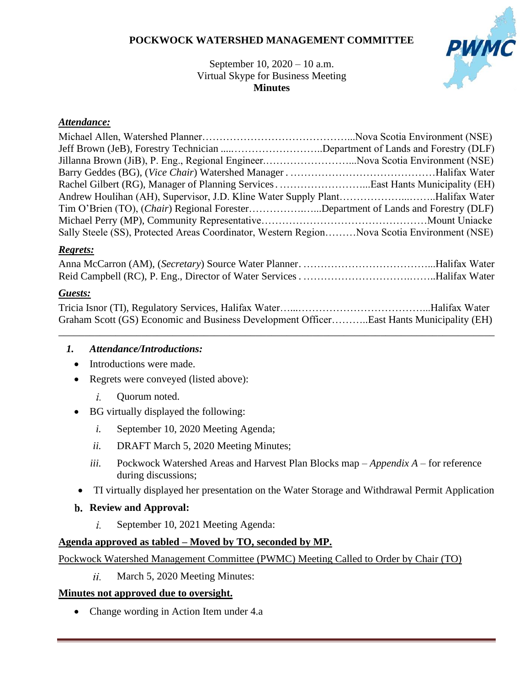#### **POCKWOCK WATERSHED MANAGEMENT COMMITTEE**



September 10, 2020 – 10 a.m. Virtual Skype for Business Meeting **Minutes**

#### *Attendance:*

| Jeff Brown (JeB), Forestry Technician Department of Lands and Forestry (DLF)                |  |
|---------------------------------------------------------------------------------------------|--|
|                                                                                             |  |
|                                                                                             |  |
|                                                                                             |  |
| Andrew Houlihan (AH), Supervisor, J.D. Kline Water Supply PlantHalifax Water                |  |
| Tim O'Brien (TO), (Chair) Regional ForesterDepartment of Lands and Forestry (DLF)           |  |
|                                                                                             |  |
| Sally Steele (SS), Protected Areas Coordinator, Western RegionNova Scotia Environment (NSE) |  |

#### *Regrets:*

#### *Guests:*

| Graham Scott (GS) Economic and Business Development OfficerEast Hants Municipality (EH) |  |
|-----------------------------------------------------------------------------------------|--|

\_\_\_\_\_\_\_\_\_\_\_\_\_\_\_\_\_\_\_\_\_\_\_\_\_\_\_\_\_\_\_\_\_\_\_\_\_\_\_\_\_\_\_\_\_\_\_\_\_\_\_\_\_\_\_\_\_\_\_\_\_\_\_\_\_\_\_\_\_\_\_\_\_\_\_\_\_\_\_\_\_\_\_\_

#### *1. Attendance/Introductions:*

- Introductions were made.
- Regrets were conveyed (listed above):
	- $\dot{i}$ . Quorum noted.
- BG virtually displayed the following:
	- *i.* September 10, 2020 Meeting Agenda;
	- *ii.* DRAFT March 5, 2020 Meeting Minutes;
	- *iii.* Pockwock Watershed Areas and Harvest Plan Blocks map *[Appendix A](#page-9-0)* for reference during discussions;
- TI virtually displayed her presentation on the Water Storage and Withdrawal Permit Application

#### **Review and Approval:**

i. September 10, 2021 Meeting Agenda:

#### **Agenda approved as tabled – Moved by TO, seconded by MP.**

Pockwock Watershed Management Committee (PWMC) Meeting Called to Order by Chair (TO)

 $ii$ . March 5, 2020 Meeting Minutes:

#### **Minutes not approved due to oversight.**

• Change wording in Action Item under 4.a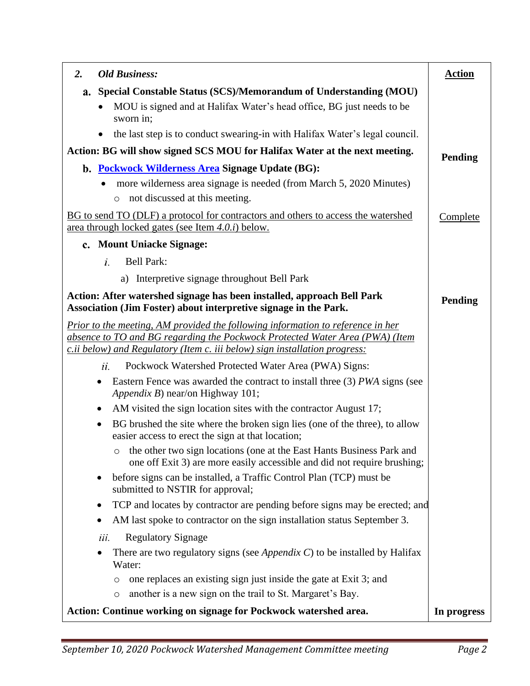<span id="page-1-0"></span>

| <b>Old Business:</b><br>2.                                                                                                                                                                                                                           | <b>Action</b>  |
|------------------------------------------------------------------------------------------------------------------------------------------------------------------------------------------------------------------------------------------------------|----------------|
| a. Special Constable Status (SCS)/Memorandum of Understanding (MOU)                                                                                                                                                                                  |                |
| MOU is signed and at Halifax Water's head office, BG just needs to be<br>$\bullet$<br>sworn in;                                                                                                                                                      |                |
| the last step is to conduct swearing-in with Halifax Water's legal council.<br>$\bullet$                                                                                                                                                             |                |
| Action: BG will show signed SCS MOU for Halifax Water at the next meeting.                                                                                                                                                                           | <b>Pending</b> |
| b. Pockwock Wilderness Area Signage Update (BG):                                                                                                                                                                                                     |                |
| more wilderness area signage is needed (from March 5, 2020 Minutes)<br>not discussed at this meeting.<br>$\circ$                                                                                                                                     |                |
| BG to send TO (DLF) a protocol for contractors and others to access the watershed<br>area through locked gates (see Item $4.0.i$ ) below.                                                                                                            | Complete       |
| c. Mount Uniacke Signage:                                                                                                                                                                                                                            |                |
| i.<br><b>Bell Park:</b>                                                                                                                                                                                                                              |                |
| Interpretive signage throughout Bell Park<br>a)                                                                                                                                                                                                      |                |
| Action: After watershed signage has been installed, approach Bell Park<br>Association (Jim Foster) about interpretive signage in the Park.                                                                                                           | <b>Pending</b> |
| <b>Prior to the meeting, AM provided the following information to reference in her</b><br>absence to TO and BG regarding the Pockwock Protected Water Area (PWA) (Item<br>c.ii below) and Regulatory (Item c. iii below) sign installation progress: |                |
| ii.<br>Pockwock Watershed Protected Water Area (PWA) Signs:                                                                                                                                                                                          |                |
| Eastern Fence was awarded the contract to install three (3) PWA signs (see<br>٠<br><i>Appendix B</i> ) near/on Highway 101;                                                                                                                          |                |
| AM visited the sign location sites with the contractor August 17;<br>$\bullet$                                                                                                                                                                       |                |
| BG brushed the site where the broken sign lies (one of the three), to allow<br>$\bullet$<br>easier access to erect the sign at that location;                                                                                                        |                |
| o the other two sign locations (one at the East Hants Business Park and<br>one off Exit 3) are more easily accessible and did not require brushing;                                                                                                  |                |
| before signs can be installed, a Traffic Control Plan (TCP) must be<br>$\bullet$<br>submitted to NSTIR for approval;                                                                                                                                 |                |
| TCP and locates by contractor are pending before signs may be erected; and<br>$\bullet$                                                                                                                                                              |                |
| AM last spoke to contractor on the sign installation status September 3.<br>٠                                                                                                                                                                        |                |
| <b>Regulatory Signage</b><br>iii.                                                                                                                                                                                                                    |                |
| There are two regulatory signs (see <i>Appendix C</i> ) to be installed by Halifax<br>Water:                                                                                                                                                         |                |
| one replaces an existing sign just inside the gate at Exit 3; and<br>$\circ$                                                                                                                                                                         |                |
| another is a new sign on the trail to St. Margaret's Bay.<br>$\circ$                                                                                                                                                                                 |                |
| Action: Continue working on signage for Pockwock watershed area.                                                                                                                                                                                     | In progress    |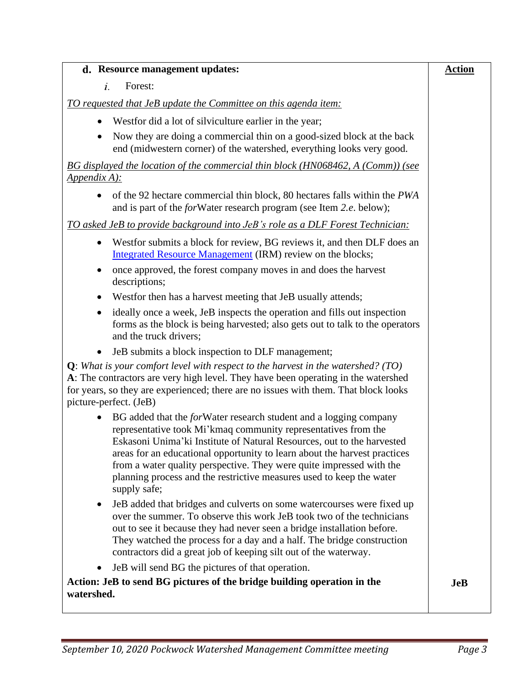| d. Resource management updates:                                                                                                                                                                                                                                                                                                                                                                                                                                    | <b>Action</b> |
|--------------------------------------------------------------------------------------------------------------------------------------------------------------------------------------------------------------------------------------------------------------------------------------------------------------------------------------------------------------------------------------------------------------------------------------------------------------------|---------------|
| Forest:<br>i.                                                                                                                                                                                                                                                                                                                                                                                                                                                      |               |
| <u>TO requested that JeB update the Committee on this agenda item:</u>                                                                                                                                                                                                                                                                                                                                                                                             |               |
| Westfor did a lot of silviculture earlier in the year;                                                                                                                                                                                                                                                                                                                                                                                                             |               |
| Now they are doing a commercial thin on a good-sized block at the back<br>end (midwestern corner) of the watershed, everything looks very good.                                                                                                                                                                                                                                                                                                                    |               |
| BG displayed the location of the commercial thin block (HN068462, A (Comm)) (see<br>$Appendix A)$ :                                                                                                                                                                                                                                                                                                                                                                |               |
| of the 92 hectare commercial thin block, 80 hectares falls within the PWA<br>and is part of the <i>for</i> Water research program (see Item 2.e. below);                                                                                                                                                                                                                                                                                                           |               |
| TO asked JeB to provide background into JeB's role as a DLF Forest Technician:                                                                                                                                                                                                                                                                                                                                                                                     |               |
| Westfor submits a block for review, BG reviews it, and then DLF does an<br>$\bullet$<br>Integrated Resource Management (IRM) review on the blocks;                                                                                                                                                                                                                                                                                                                 |               |
| once approved, the forest company moves in and does the harvest<br>descriptions;                                                                                                                                                                                                                                                                                                                                                                                   |               |
| Westfor then has a harvest meeting that JeB usually attends;                                                                                                                                                                                                                                                                                                                                                                                                       |               |
| ideally once a week, JeB inspects the operation and fills out inspection<br>forms as the block is being harvested; also gets out to talk to the operators<br>and the truck drivers;                                                                                                                                                                                                                                                                                |               |
| JeB submits a block inspection to DLF management;<br>$\bullet$                                                                                                                                                                                                                                                                                                                                                                                                     |               |
| <b>Q</b> : What is your comfort level with respect to the harvest in the watershed? (TO)<br>A: The contractors are very high level. They have been operating in the watershed<br>for years, so they are experienced; there are no issues with them. That block looks<br>picture-perfect. (JeB)                                                                                                                                                                     |               |
| BG added that the <i>for</i> Water research student and a logging company<br>representative took Mi'kmaq community representatives from the<br>Eskasoni Unima'ki Institute of Natural Resources, out to the harvested<br>areas for an educational opportunity to learn about the harvest practices<br>from a water quality perspective. They were quite impressed with the<br>planning process and the restrictive measures used to keep the water<br>supply safe; |               |
| JeB added that bridges and culverts on some watercourses were fixed up<br>over the summer. To observe this work JeB took two of the technicians<br>out to see it because they had never seen a bridge installation before.<br>They watched the process for a day and a half. The bridge construction<br>contractors did a great job of keeping silt out of the waterway.                                                                                           |               |
| JeB will send BG the pictures of that operation.                                                                                                                                                                                                                                                                                                                                                                                                                   |               |
| Action: JeB to send BG pictures of the bridge building operation in the<br>watershed.                                                                                                                                                                                                                                                                                                                                                                              | <b>JeB</b>    |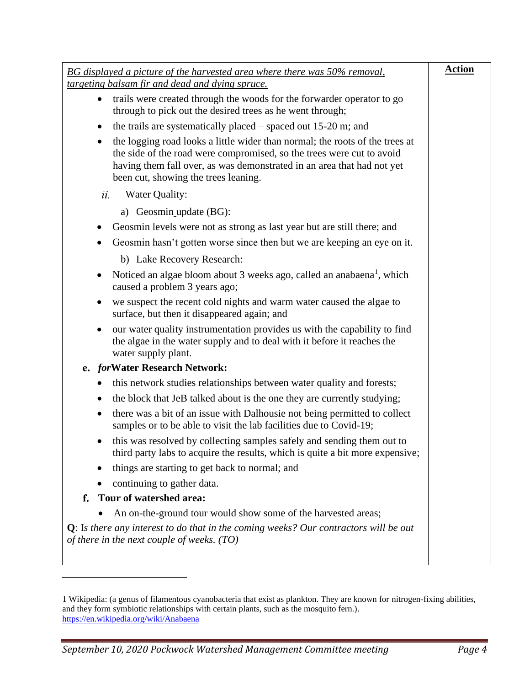| BG displayed a picture of the harvested area where there was 50% removal,                                                                                                                                                                                               | <b>Action</b> |
|-------------------------------------------------------------------------------------------------------------------------------------------------------------------------------------------------------------------------------------------------------------------------|---------------|
| targeting balsam fir and dead and dying spruce.                                                                                                                                                                                                                         |               |
| trails were created through the woods for the forwarder operator to go<br>through to pick out the desired trees as he went through;                                                                                                                                     |               |
| the trails are systematically placed $-$ spaced out 15-20 m; and                                                                                                                                                                                                        |               |
| the logging road looks a little wider than normal; the roots of the trees at<br>the side of the road were compromised, so the trees were cut to avoid<br>having them fall over, as was demonstrated in an area that had not yet<br>been cut, showing the trees leaning. |               |
| Water Quality:<br>ii.                                                                                                                                                                                                                                                   |               |
| a) Geosmin_update (BG):                                                                                                                                                                                                                                                 |               |
| Geosmin levels were not as strong as last year but are still there; and                                                                                                                                                                                                 |               |
| Geosmin hasn't gotten worse since then but we are keeping an eye on it.                                                                                                                                                                                                 |               |
| b) Lake Recovery Research:                                                                                                                                                                                                                                              |               |
| Noticed an algae bloom about 3 weeks ago, called an anabaena <sup>1</sup> , which<br>caused a problem 3 years ago;                                                                                                                                                      |               |
| we suspect the recent cold nights and warm water caused the algae to<br>surface, but then it disappeared again; and                                                                                                                                                     |               |
| our water quality instrumentation provides us with the capability to find<br>the algae in the water supply and to deal with it before it reaches the<br>water supply plant.                                                                                             |               |
| e. forWater Research Network:                                                                                                                                                                                                                                           |               |
| this network studies relationships between water quality and forests;                                                                                                                                                                                                   |               |
| the block that JeB talked about is the one they are currently studying;                                                                                                                                                                                                 |               |
| there was a bit of an issue with Dalhousie not being permitted to collect<br>samples or to be able to visit the lab facilities due to Covid-19;                                                                                                                         |               |
| this was resolved by collecting samples safely and sending them out to<br>third party labs to acquire the results, which is quite a bit more expensive;                                                                                                                 |               |
| things are starting to get back to normal; and                                                                                                                                                                                                                          |               |
| continuing to gather data.                                                                                                                                                                                                                                              |               |
| Tour of watershed area:<br>f.                                                                                                                                                                                                                                           |               |
| An on-the-ground tour would show some of the harvested areas;                                                                                                                                                                                                           |               |
| $Q$ : Is there any interest to do that in the coming weeks? Our contractors will be out<br>of there in the next couple of weeks. $(TO)$                                                                                                                                 |               |
|                                                                                                                                                                                                                                                                         |               |

<span id="page-3-0"></span><sup>1</sup> Wikipedia: (a genus of filamentous cyanobacteria that exist as plankton. They are known for nitrogen-fixing abilities, and they form symbiotic relationships with certain plants, such as the mosquito fern.). <https://en.wikipedia.org/wiki/Anabaena>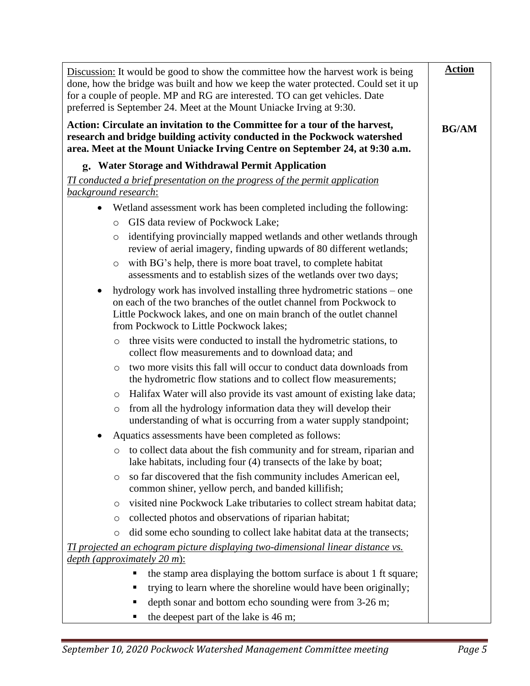| Discussion: It would be good to show the committee how the harvest work is being<br>done, how the bridge was built and how we keep the water protected. Could set it up<br>for a couple of people. MP and RG are interested. TO can get vehicles. Date<br>preferred is September 24. Meet at the Mount Uniacke Irving at 9:30. | <b>Action</b> |
|--------------------------------------------------------------------------------------------------------------------------------------------------------------------------------------------------------------------------------------------------------------------------------------------------------------------------------|---------------|
| Action: Circulate an invitation to the Committee for a tour of the harvest,<br>research and bridge building activity conducted in the Pockwock watershed<br>area. Meet at the Mount Uniacke Irving Centre on September 24, at 9:30 a.m.                                                                                        | <b>BG/AM</b>  |
| g. Water Storage and Withdrawal Permit Application                                                                                                                                                                                                                                                                             |               |
| TI conducted a brief presentation on the progress of the permit application                                                                                                                                                                                                                                                    |               |
| background research:                                                                                                                                                                                                                                                                                                           |               |
| Wetland assessment work has been completed including the following:<br>$\bullet$                                                                                                                                                                                                                                               |               |
| GIS data review of Pockwock Lake;<br>O                                                                                                                                                                                                                                                                                         |               |
| identifying provincially mapped wetlands and other wetlands through<br>$\circ$<br>review of aerial imagery, finding upwards of 80 different wetlands;                                                                                                                                                                          |               |
| with BG's help, there is more boat travel, to complete habitat<br>$\circ$<br>assessments and to establish sizes of the wetlands over two days;                                                                                                                                                                                 |               |
| hydrology work has involved installing three hydrometric stations – one<br>$\bullet$<br>on each of the two branches of the outlet channel from Pockwock to<br>Little Pockwock lakes, and one on main branch of the outlet channel<br>from Pockwock to Little Pockwock lakes;                                                   |               |
| three visits were conducted to install the hydrometric stations, to<br>$\circ$<br>collect flow measurements and to download data; and                                                                                                                                                                                          |               |
| two more visits this fall will occur to conduct data downloads from<br>$\circ$<br>the hydrometric flow stations and to collect flow measurements;                                                                                                                                                                              |               |
| Halifax Water will also provide its vast amount of existing lake data;<br>$\circ$                                                                                                                                                                                                                                              |               |
| from all the hydrology information data they will develop their<br>$\circ$<br>understanding of what is occurring from a water supply standpoint;                                                                                                                                                                               |               |
| Aquatics assessments have been completed as follows:                                                                                                                                                                                                                                                                           |               |
| to collect data about the fish community and for stream, riparian and<br>O<br>lake habitats, including four (4) transects of the lake by boat;                                                                                                                                                                                 |               |
| so far discovered that the fish community includes American eel,<br>$\circ$<br>common shiner, yellow perch, and banded killifish;                                                                                                                                                                                              |               |
| visited nine Pockwock Lake tributaries to collect stream habitat data;<br>$\circ$                                                                                                                                                                                                                                              |               |
| collected photos and observations of riparian habitat;<br>$\circ$                                                                                                                                                                                                                                                              |               |
| did some echo sounding to collect lake habitat data at the transects;<br>$\circ$                                                                                                                                                                                                                                               |               |
| <b>TI</b> projected an echogram picture displaying two-dimensional linear distance vs.<br>$depth$ (approximately 20 m):                                                                                                                                                                                                        |               |
| the stamp area displaying the bottom surface is about 1 ft square;<br>п                                                                                                                                                                                                                                                        |               |
| trying to learn where the shoreline would have been originally;<br>п                                                                                                                                                                                                                                                           |               |
| depth sonar and bottom echo sounding were from 3-26 m;<br>٠                                                                                                                                                                                                                                                                    |               |
| the deepest part of the lake is 46 m;<br>п                                                                                                                                                                                                                                                                                     |               |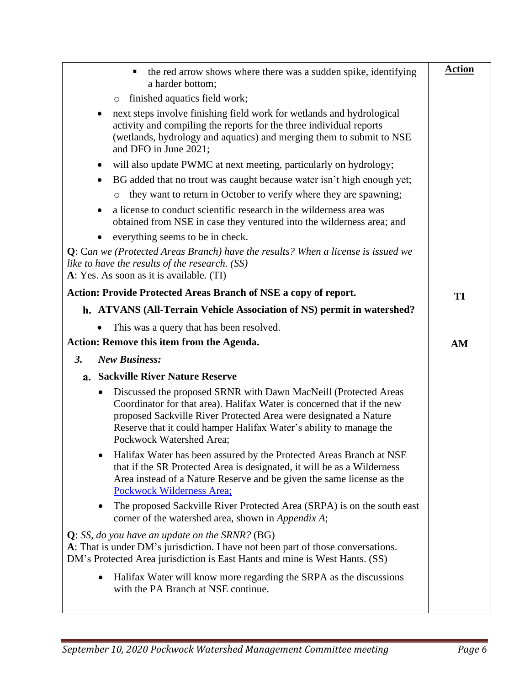| the red arrow shows where there was a sudden spike, identifying<br>٠<br>a harder bottom;                                                                                                                                                                                                                                     | <b>Action</b> |
|------------------------------------------------------------------------------------------------------------------------------------------------------------------------------------------------------------------------------------------------------------------------------------------------------------------------------|---------------|
| o finished aquatics field work;                                                                                                                                                                                                                                                                                              |               |
| next steps involve finishing field work for wetlands and hydrological<br>$\bullet$<br>activity and compiling the reports for the three individual reports<br>(wetlands, hydrology and aquatics) and merging them to submit to NSE<br>and DFO in June 2021;                                                                   |               |
| will also update PWMC at next meeting, particularly on hydrology;<br>$\bullet$                                                                                                                                                                                                                                               |               |
| BG added that no trout was caught because water isn't high enough yet;<br>$\bullet$                                                                                                                                                                                                                                          |               |
| they want to return in October to verify where they are spawning;<br>$\circ$                                                                                                                                                                                                                                                 |               |
| a license to conduct scientific research in the wilderness area was<br>٠<br>obtained from NSE in case they ventured into the wilderness area; and                                                                                                                                                                            |               |
| everything seems to be in check.<br>$\bullet$                                                                                                                                                                                                                                                                                |               |
| <b>Q</b> : Can we (Protected Areas Branch) have the results? When a license is issued we<br>like to have the results of the research. (SS)<br>A: Yes. As soon as it is available. (TI)                                                                                                                                       |               |
| Action: Provide Protected Areas Branch of NSE a copy of report.                                                                                                                                                                                                                                                              | TI            |
| h. ATVANS (All-Terrain Vehicle Association of NS) permit in watershed?                                                                                                                                                                                                                                                       |               |
| This was a query that has been resolved.                                                                                                                                                                                                                                                                                     |               |
| Action: Remove this item from the Agenda.                                                                                                                                                                                                                                                                                    | AM            |
| 3.<br><b>New Business:</b>                                                                                                                                                                                                                                                                                                   |               |
| a. Sackville River Nature Reserve                                                                                                                                                                                                                                                                                            |               |
| Discussed the proposed SRNR with Dawn MacNeill (Protected Areas<br>$\bullet$<br>Coordinator for that area). Halifax Water is concerned that if the new<br>proposed Sackville River Protected Area were designated a Nature<br>Reserve that it could hamper Halifax Water's ability to manage the<br>Pockwock Watershed Area; |               |
| Halifax Water has been assured by the Protected Areas Branch at NSE<br>that if the SR Protected Area is designated, it will be as a Wilderness<br>Area instead of a Nature Reserve and be given the same license as the<br>Pockwock Wilderness Area;                                                                         |               |
| The proposed Sackville River Protected Area (SRPA) is on the south east<br>$\bullet$<br>corner of the watershed area, shown in Appendix A;                                                                                                                                                                                   |               |
| $Q$ : SS, do you have an update on the SRNR? (BG)<br>A: That is under DM's jurisdiction. I have not been part of those conversations.<br>DM's Protected Area jurisdiction is East Hants and mine is West Hants. (SS)                                                                                                         |               |
| Halifax Water will know more regarding the SRPA as the discussions<br>$\bullet$<br>with the PA Branch at NSE continue.                                                                                                                                                                                                       |               |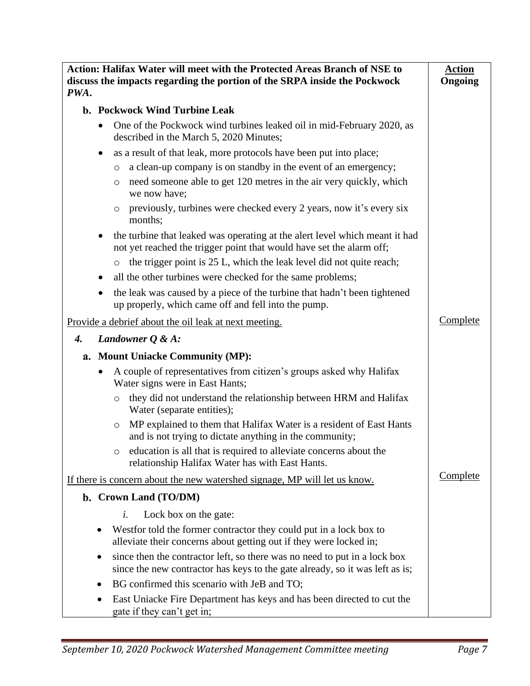<span id="page-6-2"></span><span id="page-6-1"></span><span id="page-6-0"></span>

| Action: Halifax Water will meet with the Protected Areas Branch of NSE to<br>discuss the impacts regarding the portion of the SRPA inside the Pockwock<br>PWA.                                                                                                                                                                                                                                                                                       |          |
|------------------------------------------------------------------------------------------------------------------------------------------------------------------------------------------------------------------------------------------------------------------------------------------------------------------------------------------------------------------------------------------------------------------------------------------------------|----------|
| b. Pockwock Wind Turbine Leak                                                                                                                                                                                                                                                                                                                                                                                                                        |          |
| One of the Pockwock wind turbines leaked oil in mid-February 2020, as<br>٠<br>described in the March 5, 2020 Minutes;                                                                                                                                                                                                                                                                                                                                |          |
| as a result of that leak, more protocols have been put into place;<br>a clean-up company is on standby in the event of an emergency;<br>O<br>need someone able to get 120 metres in the air very quickly, which<br>$\circ$<br>we now have;<br>previously, turbines were checked every 2 years, now it's every six<br>months;                                                                                                                         |          |
| the turbine that leaked was operating at the alert level which meant it had<br>not yet reached the trigger point that would have set the alarm off;<br>the trigger point is 25 L, which the leak level did not quite reach;<br>$\circ$<br>all the other turbines were checked for the same problems;<br>the leak was caused by a piece of the turbine that hadn't been tightened<br>$\bullet$<br>up properly, which came off and fell into the pump. |          |
| Provide a debrief about the oil leak at next meeting.                                                                                                                                                                                                                                                                                                                                                                                                | Complete |
| Landowner $Q \& A$ :<br>4.                                                                                                                                                                                                                                                                                                                                                                                                                           |          |
| a. Mount Uniacke Community (MP):                                                                                                                                                                                                                                                                                                                                                                                                                     |          |
| A couple of representatives from citizen's groups asked why Halifax<br>Water signs were in East Hants;                                                                                                                                                                                                                                                                                                                                               |          |
| they did not understand the relationship between HRM and Halifax<br>$\circ$<br>Water (separate entities);                                                                                                                                                                                                                                                                                                                                            |          |
| MP explained to them that Halifax Water is a resident of East Hants<br>$\circ$<br>and is not trying to dictate anything in the community;<br>education is all that is required to alleviate concerns about the<br>relationship Halifax Water has with East Hants.                                                                                                                                                                                    |          |
| If there is concern about the new watershed signage, MP will let us know.                                                                                                                                                                                                                                                                                                                                                                            | Complete |
| b. Crown Land (TO/DM)                                                                                                                                                                                                                                                                                                                                                                                                                                |          |
| i.<br>Lock box on the gate:                                                                                                                                                                                                                                                                                                                                                                                                                          |          |
| Westfor told the former contractor they could put in a lock box to<br>alleviate their concerns about getting out if they were locked in;                                                                                                                                                                                                                                                                                                             |          |
| since then the contractor left, so there was no need to put in a lock box<br>٠<br>since the new contractor has keys to the gate already, so it was left as is;                                                                                                                                                                                                                                                                                       |          |
| BG confirmed this scenario with JeB and TO;                                                                                                                                                                                                                                                                                                                                                                                                          |          |
| East Uniacke Fire Department has keys and has been directed to cut the<br>gate if they can't get in;                                                                                                                                                                                                                                                                                                                                                 |          |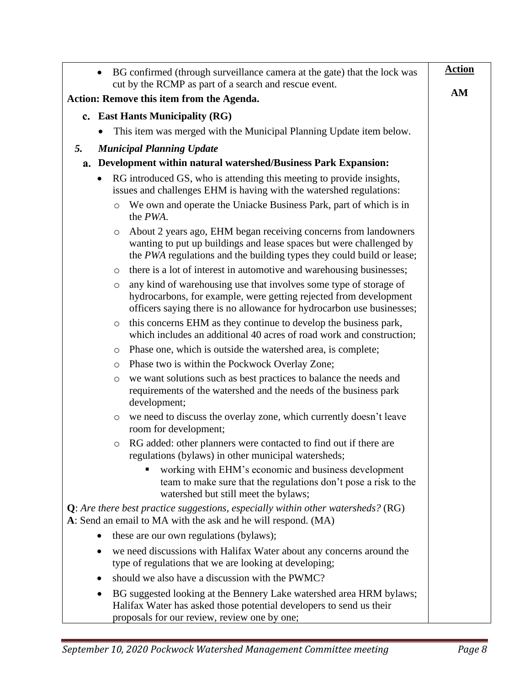|                                           |           | BG confirmed (through surveillance camera at the gate) that the lock was<br>cut by the RCMP as part of a search and rescue event.                                                                                          | <b>Action</b> |
|-------------------------------------------|-----------|----------------------------------------------------------------------------------------------------------------------------------------------------------------------------------------------------------------------------|---------------|
|                                           |           |                                                                                                                                                                                                                            | AM            |
| Action: Remove this item from the Agenda. |           |                                                                                                                                                                                                                            |               |
|                                           |           | c. East Hants Municipality (RG)                                                                                                                                                                                            |               |
|                                           |           | This item was merged with the Municipal Planning Update item below.                                                                                                                                                        |               |
| 5.                                        |           | <b>Municipal Planning Update</b>                                                                                                                                                                                           |               |
|                                           |           | a. Development within natural watershed/Business Park Expansion:                                                                                                                                                           |               |
|                                           | $\bullet$ | RG introduced GS, who is attending this meeting to provide insights,<br>issues and challenges EHM is having with the watershed regulations:                                                                                |               |
|                                           |           | We own and operate the Uniacke Business Park, part of which is in<br>$\circ$<br>the PWA.                                                                                                                                   |               |
|                                           |           | About 2 years ago, EHM began receiving concerns from landowners<br>$\circ$<br>wanting to put up buildings and lease spaces but were challenged by<br>the PWA regulations and the building types they could build or lease; |               |
|                                           |           | there is a lot of interest in automotive and warehousing businesses;<br>O                                                                                                                                                  |               |
|                                           |           | any kind of warehousing use that involves some type of storage of<br>O<br>hydrocarbons, for example, were getting rejected from development<br>officers saying there is no allowance for hydrocarbon use businesses;       |               |
|                                           |           | this concerns EHM as they continue to develop the business park,<br>O<br>which includes an additional 40 acres of road work and construction;                                                                              |               |
|                                           |           | Phase one, which is outside the watershed area, is complete;<br>O                                                                                                                                                          |               |
|                                           |           | Phase two is within the Pockwock Overlay Zone;<br>O                                                                                                                                                                        |               |
|                                           |           | we want solutions such as best practices to balance the needs and<br>$\circ$<br>requirements of the watershed and the needs of the business park<br>development;                                                           |               |
|                                           |           | we need to discuss the overlay zone, which currently doesn't leave<br>O<br>room for development;                                                                                                                           |               |
|                                           |           | RG added: other planners were contacted to find out if there are<br>O<br>regulations (bylaws) in other municipal watersheds;                                                                                               |               |
|                                           |           | working with EHM's economic and business development<br>team to make sure that the regulations don't pose a risk to the<br>watershed but still meet the bylaws;                                                            |               |
|                                           |           | <b>Q</b> : Are there best practice suggestions, especially within other watersheds? ( $RG$ )<br>A: Send an email to MA with the ask and he will respond. (MA)                                                              |               |
|                                           | $\bullet$ | these are our own regulations (bylaws);                                                                                                                                                                                    |               |
|                                           |           | we need discussions with Halifax Water about any concerns around the<br>type of regulations that we are looking at developing;                                                                                             |               |
|                                           |           | should we also have a discussion with the PWMC?                                                                                                                                                                            |               |
|                                           |           | BG suggested looking at the Bennery Lake watershed area HRM bylaws;<br>Halifax Water has asked those potential developers to send us their<br>proposals for our review, review one by one;                                 |               |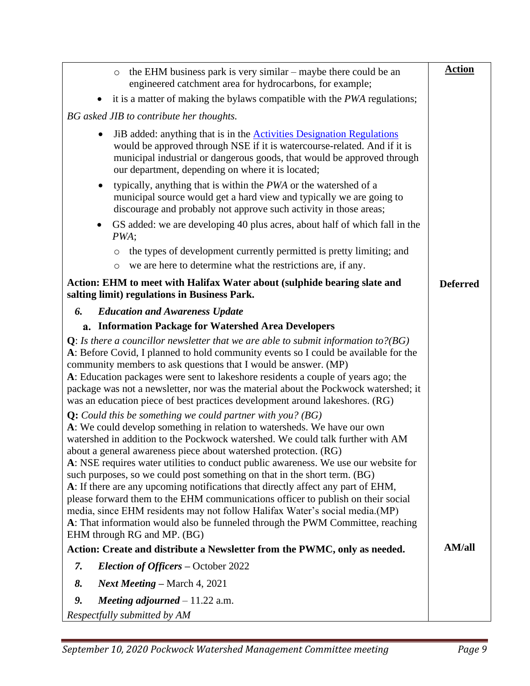| the EHM business park is very similar – maybe there could be an<br>$\circ$<br>engineered catchment area for hydrocarbons, for example;                                                                                                                                                                                                                                                                                                                                                                                                                                                                                                                                                                                                                                                                                                                                                                                                                                                                                                                                                                                                                                                                                                                                                                                                                                       | <b>Action</b>   |
|------------------------------------------------------------------------------------------------------------------------------------------------------------------------------------------------------------------------------------------------------------------------------------------------------------------------------------------------------------------------------------------------------------------------------------------------------------------------------------------------------------------------------------------------------------------------------------------------------------------------------------------------------------------------------------------------------------------------------------------------------------------------------------------------------------------------------------------------------------------------------------------------------------------------------------------------------------------------------------------------------------------------------------------------------------------------------------------------------------------------------------------------------------------------------------------------------------------------------------------------------------------------------------------------------------------------------------------------------------------------------|-----------------|
| it is a matter of making the bylaws compatible with the PWA regulations;                                                                                                                                                                                                                                                                                                                                                                                                                                                                                                                                                                                                                                                                                                                                                                                                                                                                                                                                                                                                                                                                                                                                                                                                                                                                                                     |                 |
|                                                                                                                                                                                                                                                                                                                                                                                                                                                                                                                                                                                                                                                                                                                                                                                                                                                                                                                                                                                                                                                                                                                                                                                                                                                                                                                                                                              |                 |
| BG asked JIB to contribute her thoughts.                                                                                                                                                                                                                                                                                                                                                                                                                                                                                                                                                                                                                                                                                                                                                                                                                                                                                                                                                                                                                                                                                                                                                                                                                                                                                                                                     |                 |
| JiB added: anything that is in the <b>Activities</b> Designation Regulations<br>would be approved through NSE if it is watercourse-related. And if it is<br>municipal industrial or dangerous goods, that would be approved through<br>our department, depending on where it is located;                                                                                                                                                                                                                                                                                                                                                                                                                                                                                                                                                                                                                                                                                                                                                                                                                                                                                                                                                                                                                                                                                     |                 |
| typically, anything that is within the PWA or the watershed of a<br>$\bullet$<br>municipal source would get a hard view and typically we are going to<br>discourage and probably not approve such activity in those areas;                                                                                                                                                                                                                                                                                                                                                                                                                                                                                                                                                                                                                                                                                                                                                                                                                                                                                                                                                                                                                                                                                                                                                   |                 |
| GS added: we are developing 40 plus acres, about half of which fall in the<br>$\bullet$<br>PWA;                                                                                                                                                                                                                                                                                                                                                                                                                                                                                                                                                                                                                                                                                                                                                                                                                                                                                                                                                                                                                                                                                                                                                                                                                                                                              |                 |
| the types of development currently permitted is pretty limiting; and<br>$\circ$<br>we are here to determine what the restrictions are, if any.<br>$\circ$                                                                                                                                                                                                                                                                                                                                                                                                                                                                                                                                                                                                                                                                                                                                                                                                                                                                                                                                                                                                                                                                                                                                                                                                                    |                 |
| Action: EHM to meet with Halifax Water about (sulphide bearing slate and                                                                                                                                                                                                                                                                                                                                                                                                                                                                                                                                                                                                                                                                                                                                                                                                                                                                                                                                                                                                                                                                                                                                                                                                                                                                                                     | <b>Deferred</b> |
| salting limit) regulations in Business Park.                                                                                                                                                                                                                                                                                                                                                                                                                                                                                                                                                                                                                                                                                                                                                                                                                                                                                                                                                                                                                                                                                                                                                                                                                                                                                                                                 |                 |
| <b>Education and Awareness Update</b><br>6.                                                                                                                                                                                                                                                                                                                                                                                                                                                                                                                                                                                                                                                                                                                                                                                                                                                                                                                                                                                                                                                                                                                                                                                                                                                                                                                                  |                 |
| a. Information Package for Watershed Area Developers                                                                                                                                                                                                                                                                                                                                                                                                                                                                                                                                                                                                                                                                                                                                                                                                                                                                                                                                                                                                                                                                                                                                                                                                                                                                                                                         |                 |
| <b>Q</b> : Is there a councillor newsletter that we are able to submit information to?( $BG$ )<br>A: Before Covid, I planned to hold community events so I could be available for the<br>community members to ask questions that I would be answer. (MP)<br>A: Education packages were sent to lakeshore residents a couple of years ago; the<br>package was not a newsletter, nor was the material about the Pockwock watershed; it<br>was an education piece of best practices development around lakeshores. (RG)<br><b>Q:</b> Could this be something we could partner with you? ( $BG$ )<br>A: We could develop something in relation to watersheds. We have our own<br>watershed in addition to the Pockwock watershed. We could talk further with AM<br>about a general awareness piece about watershed protection. (RG)<br>A: NSE requires water utilities to conduct public awareness. We use our website for<br>such purposes, so we could post something on that in the short term. (BG)<br>A: If there are any upcoming notifications that directly affect any part of EHM,<br>please forward them to the EHM communications officer to publish on their social<br>media, since EHM residents may not follow Halifax Water's social media. (MP)<br>A: That information would also be funneled through the PWM Committee, reaching<br>EHM through RG and MP. (BG) | <b>AM</b> /all  |
| Action: Create and distribute a Newsletter from the PWMC, only as needed.                                                                                                                                                                                                                                                                                                                                                                                                                                                                                                                                                                                                                                                                                                                                                                                                                                                                                                                                                                                                                                                                                                                                                                                                                                                                                                    |                 |
| 7.<br><b>Election of Officers – October 2022</b>                                                                                                                                                                                                                                                                                                                                                                                                                                                                                                                                                                                                                                                                                                                                                                                                                                                                                                                                                                                                                                                                                                                                                                                                                                                                                                                             |                 |
| 8.<br><i>Next Meeting</i> – March 4, 2021                                                                                                                                                                                                                                                                                                                                                                                                                                                                                                                                                                                                                                                                                                                                                                                                                                                                                                                                                                                                                                                                                                                                                                                                                                                                                                                                    |                 |
| 9.<br><b>Meeting adjourned</b> $-11.22$ a.m.                                                                                                                                                                                                                                                                                                                                                                                                                                                                                                                                                                                                                                                                                                                                                                                                                                                                                                                                                                                                                                                                                                                                                                                                                                                                                                                                 |                 |
| Respectfully submitted by AM                                                                                                                                                                                                                                                                                                                                                                                                                                                                                                                                                                                                                                                                                                                                                                                                                                                                                                                                                                                                                                                                                                                                                                                                                                                                                                                                                 |                 |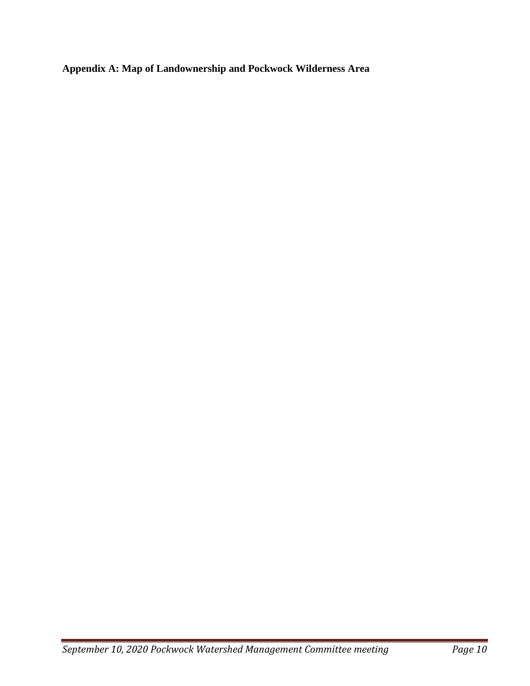<span id="page-9-0"></span>**Appendix A: Map of Landownership and Pockwock Wilderness Area**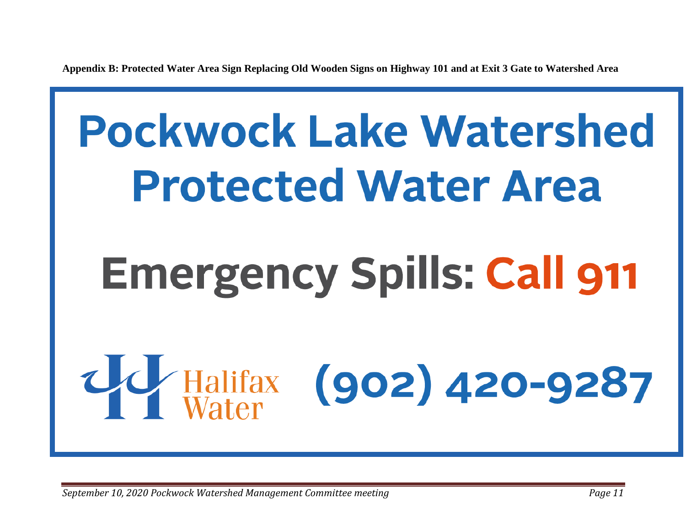**Appendix B: Protected Water Area Sign Replacing Old Wooden Signs on Highway 101 and at Exit 3 Gate to Watershed Area**

# <span id="page-10-0"></span>**Pockwock Lake Watershed Protected Water Area Emergency Spills: Call 911**  $(902)$  420-9287 Halifax<br>Water

*September 10, 2020 Pockwock Watershed Management Committee meeting Page 11*